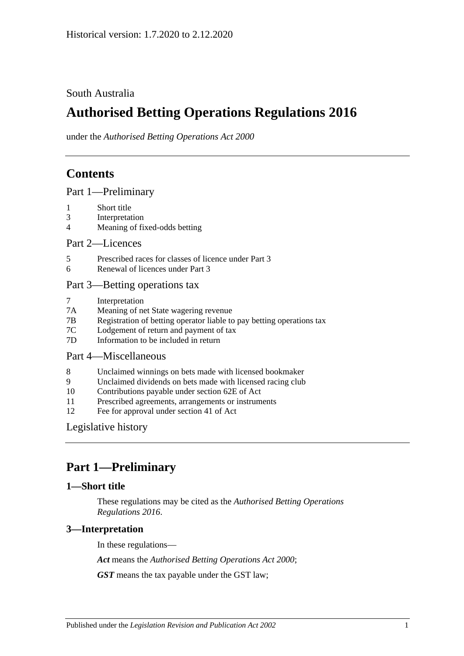South Australia

# **Authorised Betting Operations Regulations 2016**

under the *Authorised Betting Operations Act 2000*

# **Contents**

[Part 1—Preliminary](#page-0-0)

- 1 [Short title](#page-0-1)
- 3 [Interpretation](#page-0-2)
- 4 [Meaning of fixed-odds betting](#page-1-0)

[Part 2—Licences](#page-2-0)

- 5 [Prescribed races for classes of licence under Part](#page-2-1) 3
- 6 [Renewal of licences under Part](#page-2-2) 3

#### [Part 3—Betting operations tax](#page-2-3)

- 7 [Interpretation](#page-2-4)
- 7A [Meaning of net State wagering revenue](#page-2-5)
- 7B [Registration of betting operator liable to pay betting operations tax](#page-2-6)
- 7C [Lodgement of return and payment of tax](#page-3-0)
- 7D [Information to be included in return](#page-4-0)

## [Part 4—Miscellaneous](#page-4-1)

- 8 [Unclaimed winnings on bets made with licensed bookmaker](#page-4-2)
- 9 [Unclaimed dividends on bets made with licensed racing club](#page-5-0)
- 10 [Contributions payable under section 62E of Act](#page-5-1)
- 11 [Prescribed agreements, arrangements or instruments](#page-6-0)
- 12 [Fee for approval under section 41 of Act](#page-6-1)

[Legislative history](#page-7-0)

# <span id="page-0-0"></span>**Part 1—Preliminary**

#### <span id="page-0-1"></span>**1—Short title**

These regulations may be cited as the *Authorised Betting Operations Regulations 2016*.

### <span id="page-0-2"></span>**3—Interpretation**

In these regulations—

*Act* means the *[Authorised Betting Operations Act](http://www.legislation.sa.gov.au/index.aspx?action=legref&type=act&legtitle=Authorised%20Betting%20Operations%20Act%202000) 2000*;

*GST* means the tax payable under the GST law;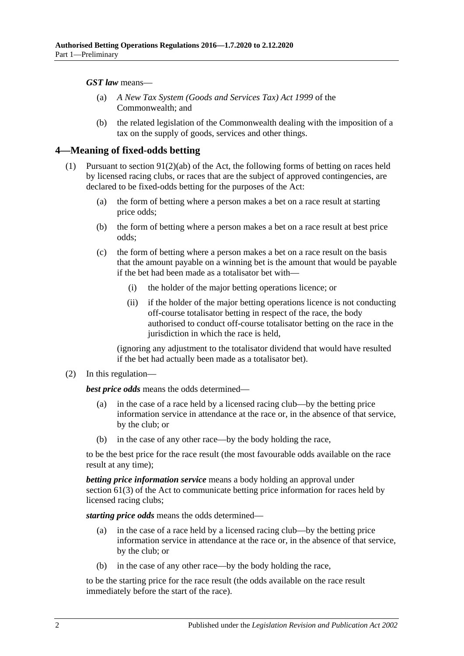*GST law* means—

- (a) *A New Tax System (Goods and Services Tax) Act 1999* of the Commonwealth; and
- (b) the related legislation of the Commonwealth dealing with the imposition of a tax on the supply of goods, services and other things.

#### <span id="page-1-0"></span>**4—Meaning of fixed-odds betting**

- (1) Pursuant to section 91(2)(ab) of the Act, the following forms of betting on races held by licensed racing clubs, or races that are the subject of approved contingencies, are declared to be fixed-odds betting for the purposes of the Act:
	- (a) the form of betting where a person makes a bet on a race result at starting price odds;
	- (b) the form of betting where a person makes a bet on a race result at best price odds;
	- (c) the form of betting where a person makes a bet on a race result on the basis that the amount payable on a winning bet is the amount that would be payable if the bet had been made as a totalisator bet with—
		- (i) the holder of the major betting operations licence; or
		- (ii) if the holder of the major betting operations licence is not conducting off-course totalisator betting in respect of the race, the body authorised to conduct off-course totalisator betting on the race in the jurisdiction in which the race is held,

(ignoring any adjustment to the totalisator dividend that would have resulted if the bet had actually been made as a totalisator bet).

(2) In this regulation—

*best price odds* means the odds determined—

- (a) in the case of a race held by a licensed racing club—by the betting price information service in attendance at the race or, in the absence of that service, by the club; or
- (b) in the case of any other race—by the body holding the race,

to be the best price for the race result (the most favourable odds available on the race result at any time);

*betting price information service* means a body holding an approval under section 61(3) of the Act to communicate betting price information for races held by licensed racing clubs;

*starting price odds* means the odds determined—

- (a) in the case of a race held by a licensed racing club—by the betting price information service in attendance at the race or, in the absence of that service, by the club; or
- (b) in the case of any other race—by the body holding the race,

to be the starting price for the race result (the odds available on the race result immediately before the start of the race).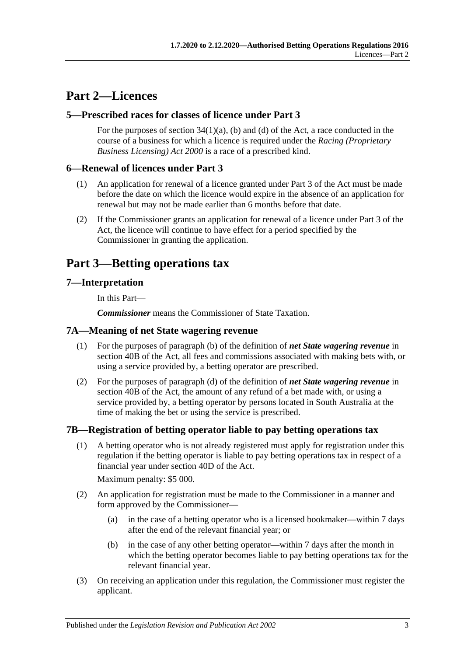# <span id="page-2-0"></span>**Part 2—Licences**

### <span id="page-2-1"></span>**5—Prescribed races for classes of licence under Part 3**

For the purposes of section  $34(1)(a)$ , (b) and (d) of the Act, a race conducted in the course of a business for which a licence is required under the *[Racing \(Proprietary](http://www.legislation.sa.gov.au/index.aspx?action=legref&type=act&legtitle=Racing%20(Proprietary%20Business%20Licensing)%20Act%202000)  [Business Licensing\) Act](http://www.legislation.sa.gov.au/index.aspx?action=legref&type=act&legtitle=Racing%20(Proprietary%20Business%20Licensing)%20Act%202000) 2000* is a race of a prescribed kind.

### <span id="page-2-2"></span>**6—Renewal of licences under Part 3**

- (1) An application for renewal of a licence granted under Part 3 of the Act must be made before the date on which the licence would expire in the absence of an application for renewal but may not be made earlier than 6 months before that date.
- (2) If the Commissioner grants an application for renewal of a licence under Part 3 of the Act, the licence will continue to have effect for a period specified by the Commissioner in granting the application.

# <span id="page-2-3"></span>**Part 3—Betting operations tax**

### <span id="page-2-4"></span>**7—Interpretation**

In this Part—

*Commissioner* means the Commissioner of State Taxation.

#### <span id="page-2-5"></span>**7A—Meaning of net State wagering revenue**

- (1) For the purposes of paragraph (b) of the definition of *net State wagering revenue* in section 40B of the Act, all fees and commissions associated with making bets with, or using a service provided by, a betting operator are prescribed.
- (2) For the purposes of paragraph (d) of the definition of *net State wagering revenue* in section 40B of the Act, the amount of any refund of a bet made with, or using a service provided by, a betting operator by persons located in South Australia at the time of making the bet or using the service is prescribed.

### <span id="page-2-7"></span><span id="page-2-6"></span>**7B—Registration of betting operator liable to pay betting operations tax**

(1) A betting operator who is not already registered must apply for registration under this regulation if the betting operator is liable to pay betting operations tax in respect of a financial year under section 40D of the Act.

Maximum penalty: \$5 000.

- (2) An application for registration must be made to the Commissioner in a manner and form approved by the Commissioner—
	- (a) in the case of a betting operator who is a licensed bookmaker—within 7 days after the end of the relevant financial year; or
	- (b) in the case of any other betting operator—within 7 days after the month in which the betting operator becomes liable to pay betting operations tax for the relevant financial year.
- (3) On receiving an application under this regulation, the Commissioner must register the applicant.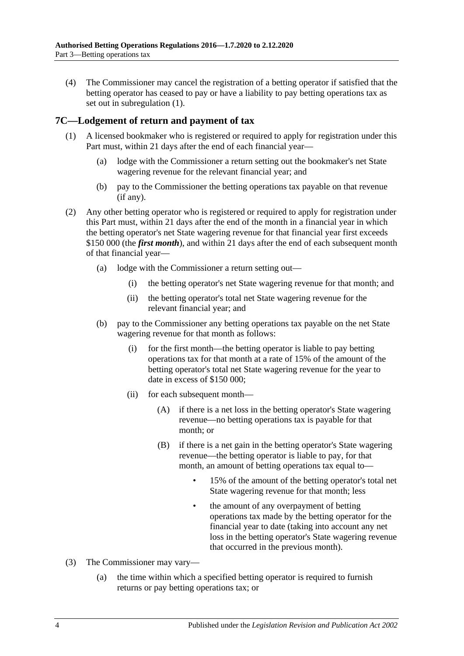(4) The Commissioner may cancel the registration of a betting operator if satisfied that the betting operator has ceased to pay or have a liability to pay betting operations tax as set out in [subregulation](#page-2-7) (1).

### <span id="page-3-0"></span>**7C—Lodgement of return and payment of tax**

- (1) A licensed bookmaker who is registered or required to apply for registration under this Part must, within 21 days after the end of each financial year—
	- (a) lodge with the Commissioner a return setting out the bookmaker's net State wagering revenue for the relevant financial year; and
	- (b) pay to the Commissioner the betting operations tax payable on that revenue (if any).
- (2) Any other betting operator who is registered or required to apply for registration under this Part must, within 21 days after the end of the month in a financial year in which the betting operator's net State wagering revenue for that financial year first exceeds \$150 000 (the *first month*), and within 21 days after the end of each subsequent month of that financial year—
	- (a) lodge with the Commissioner a return setting out—
		- (i) the betting operator's net State wagering revenue for that month; and
		- (ii) the betting operator's total net State wagering revenue for the relevant financial year; and
	- (b) pay to the Commissioner any betting operations tax payable on the net State wagering revenue for that month as follows:
		- (i) for the first month—the betting operator is liable to pay betting operations tax for that month at a rate of 15% of the amount of the betting operator's total net State wagering revenue for the year to date in excess of \$150 000;
		- (ii) for each subsequent month—
			- (A) if there is a net loss in the betting operator's State wagering revenue—no betting operations tax is payable for that month; or
			- (B) if there is a net gain in the betting operator's State wagering revenue—the betting operator is liable to pay, for that month, an amount of betting operations tax equal to—
				- 15% of the amount of the betting operator's total net State wagering revenue for that month; less
				- the amount of any overpayment of betting operations tax made by the betting operator for the financial year to date (taking into account any net loss in the betting operator's State wagering revenue that occurred in the previous month).
- <span id="page-3-1"></span>(3) The Commissioner may vary—
	- (a) the time within which a specified betting operator is required to furnish returns or pay betting operations tax; or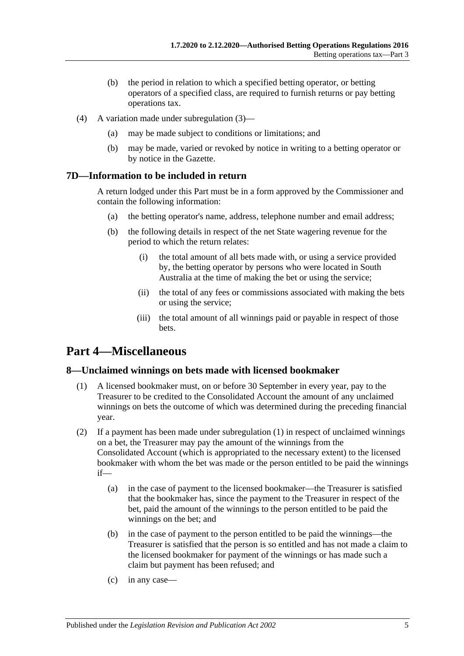- (b) the period in relation to which a specified betting operator, or betting operators of a specified class, are required to furnish returns or pay betting operations tax.
- (4) A variation made under [subregulation](#page-3-1) (3)—
	- (a) may be made subject to conditions or limitations; and
	- (b) may be made, varied or revoked by notice in writing to a betting operator or by notice in the Gazette.

### <span id="page-4-0"></span>**7D—Information to be included in return**

A return lodged under this Part must be in a form approved by the Commissioner and contain the following information:

- (a) the betting operator's name, address, telephone number and email address;
- (b) the following details in respect of the net State wagering revenue for the period to which the return relates:
	- (i) the total amount of all bets made with, or using a service provided by, the betting operator by persons who were located in South Australia at the time of making the bet or using the service;
	- (ii) the total of any fees or commissions associated with making the bets or using the service;
	- (iii) the total amount of all winnings paid or payable in respect of those bets.

# <span id="page-4-1"></span>**Part 4—Miscellaneous**

### <span id="page-4-3"></span><span id="page-4-2"></span>**8—Unclaimed winnings on bets made with licensed bookmaker**

- (1) A licensed bookmaker must, on or before 30 September in every year, pay to the Treasurer to be credited to the Consolidated Account the amount of any unclaimed winnings on bets the outcome of which was determined during the preceding financial year.
- (2) If a payment has been made under [subregulation](#page-4-3) (1) in respect of unclaimed winnings on a bet, the Treasurer may pay the amount of the winnings from the Consolidated Account (which is appropriated to the necessary extent) to the licensed bookmaker with whom the bet was made or the person entitled to be paid the winnings if—
	- (a) in the case of payment to the licensed bookmaker—the Treasurer is satisfied that the bookmaker has, since the payment to the Treasurer in respect of the bet, paid the amount of the winnings to the person entitled to be paid the winnings on the bet; and
	- (b) in the case of payment to the person entitled to be paid the winnings—the Treasurer is satisfied that the person is so entitled and has not made a claim to the licensed bookmaker for payment of the winnings or has made such a claim but payment has been refused; and
	- (c) in any case—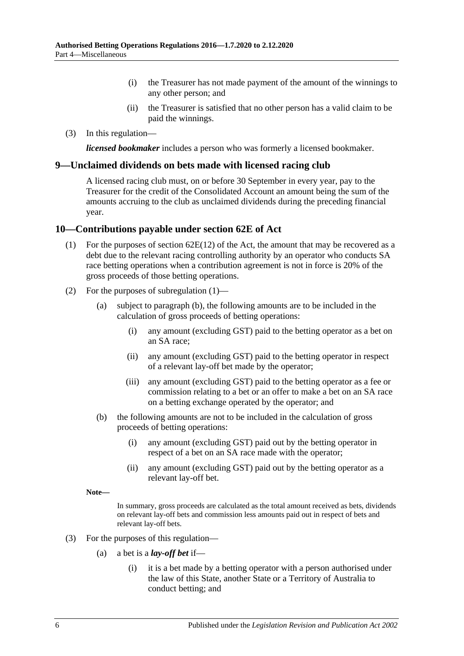- (i) the Treasurer has not made payment of the amount of the winnings to any other person; and
- (ii) the Treasurer is satisfied that no other person has a valid claim to be paid the winnings.
- (3) In this regulation—

*licensed bookmaker* includes a person who was formerly a licensed bookmaker.

#### <span id="page-5-0"></span>**9—Unclaimed dividends on bets made with licensed racing club**

A licensed racing club must, on or before 30 September in every year, pay to the Treasurer for the credit of the Consolidated Account an amount being the sum of the amounts accruing to the club as unclaimed dividends during the preceding financial year.

#### <span id="page-5-2"></span><span id="page-5-1"></span>**10—Contributions payable under section 62E of Act**

- (1) For the purposes of section  $62E(12)$  of the Act, the amount that may be recovered as a debt due to the relevant racing controlling authority by an operator who conducts SA race betting operations when a contribution agreement is not in force is 20% of the gross proceeds of those betting operations.
- (2) For the purposes of [subregulation](#page-5-2) (1)—
	- (a) subject to [paragraph](#page-5-3) (b), the following amounts are to be included in the calculation of gross proceeds of betting operations:
		- (i) any amount (excluding GST) paid to the betting operator as a bet on an SA race;
		- (ii) any amount (excluding GST) paid to the betting operator in respect of a relevant lay-off bet made by the operator;
		- (iii) any amount (excluding GST) paid to the betting operator as a fee or commission relating to a bet or an offer to make a bet on an SA race on a betting exchange operated by the operator; and
	- (b) the following amounts are not to be included in the calculation of gross proceeds of betting operations:
		- (i) any amount (excluding GST) paid out by the betting operator in respect of a bet on an SA race made with the operator;
		- (ii) any amount (excluding GST) paid out by the betting operator as a relevant lay-off bet.

<span id="page-5-3"></span>**Note—**

In summary, gross proceeds are calculated as the total amount received as bets, dividends on relevant lay-off bets and commission less amounts paid out in respect of bets and relevant lay-off bets.

- (3) For the purposes of this regulation—
	- (a) a bet is a *lay-off bet* if—
		- (i) it is a bet made by a betting operator with a person authorised under the law of this State, another State or a Territory of Australia to conduct betting; and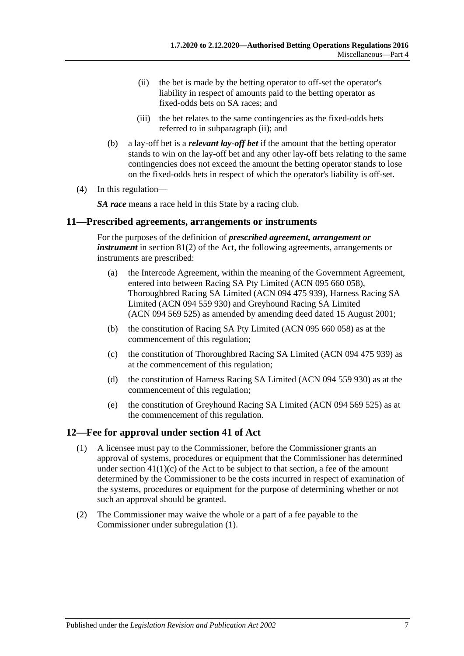- <span id="page-6-2"></span>(ii) the bet is made by the betting operator to off-set the operator's liability in respect of amounts paid to the betting operator as fixed-odds bets on SA races; and
- (iii) the bet relates to the same contingencies as the fixed-odds bets referred to in [subparagraph](#page-6-2) (ii); and
- (b) a lay-off bet is a *relevant lay-off bet* if the amount that the betting operator stands to win on the lay-off bet and any other lay-off bets relating to the same contingencies does not exceed the amount the betting operator stands to lose on the fixed-odds bets in respect of which the operator's liability is off-set.
- (4) In this regulation—

*SA race* means a race held in this State by a racing club.

#### <span id="page-6-0"></span>**11—Prescribed agreements, arrangements or instruments**

For the purposes of the definition of *prescribed agreement, arrangement or instrument* in section 81(2) of the Act, the following agreements, arrangements or instruments are prescribed:

- (a) the Intercode Agreement, within the meaning of the Government Agreement, entered into between Racing SA Pty Limited (ACN 095 660 058), Thoroughbred Racing SA Limited (ACN 094 475 939), Harness Racing SA Limited (ACN 094 559 930) and Greyhound Racing SA Limited (ACN 094 569 525) as amended by amending deed dated 15 August 2001;
- (b) the constitution of Racing SA Pty Limited (ACN 095 660 058) as at the commencement of this regulation;
- (c) the constitution of Thoroughbred Racing SA Limited (ACN 094 475 939) as at the commencement of this regulation;
- (d) the constitution of Harness Racing SA Limited (ACN 094 559 930) as at the commencement of this regulation;
- (e) the constitution of Greyhound Racing SA Limited (ACN 094 569 525) as at the commencement of this regulation.

#### <span id="page-6-3"></span><span id="page-6-1"></span>**12—Fee for approval under section 41 of Act**

- (1) A licensee must pay to the Commissioner, before the Commissioner grants an approval of systems, procedures or equipment that the Commissioner has determined under section  $41(1)(c)$  of the Act to be subject to that section, a fee of the amount determined by the Commissioner to be the costs incurred in respect of examination of the systems, procedures or equipment for the purpose of determining whether or not such an approval should be granted.
- (2) The Commissioner may waive the whole or a part of a fee payable to the Commissioner under [subregulation](#page-6-3) (1).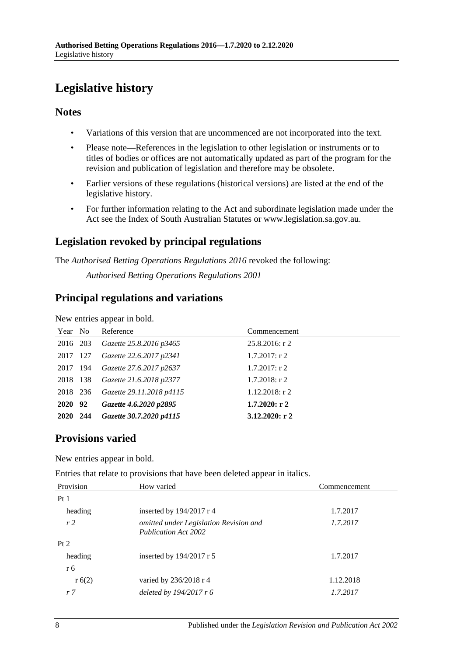# <span id="page-7-0"></span>**Legislative history**

### **Notes**

- Variations of this version that are uncommenced are not incorporated into the text.
- Please note—References in the legislation to other legislation or instruments or to titles of bodies or offices are not automatically updated as part of the program for the revision and publication of legislation and therefore may be obsolete.
- Earlier versions of these regulations (historical versions) are listed at the end of the legislative history.
- For further information relating to the Act and subordinate legislation made under the Act see the Index of South Australian Statutes or www.legislation.sa.gov.au.

# **Legislation revoked by principal regulations**

The *Authorised Betting Operations Regulations 2016* revoked the following:

*Authorised Betting Operations Regulations 2001*

### **Principal regulations and variations**

New entries appear in bold.

| Year No  | Reference                | Commencement      |
|----------|--------------------------|-------------------|
| 2016 203 | Gazette 25.8.2016 p3465  | $25.8.2016$ : r 2 |
| 2017 127 | Gazette 22.6.2017 p2341  | $1.7.2017$ : r 2  |
| 2017 194 | Gazette 27.6.2017 p2637  | $1.7.2017$ : r 2  |
| 2018 138 | Gazette 21.6.2018 p2377  | $1.7.2018$ : r 2  |
| 2018 236 | Gazette 29.11.2018 p4115 | $1.12.2018$ : r 2 |
| 2020 92  | Gazette 4.6.2020 p2895   | $1.7.2020:$ r 2   |
| 2020 244 | Gazette 30.7.2020 p4115  | 3.12.2020: $r2$   |

# **Provisions varied**

New entries appear in bold.

Entries that relate to provisions that have been deleted appear in italics.

| Provision      | How varied                                                            | Commencement |
|----------------|-----------------------------------------------------------------------|--------------|
| Pt1            |                                                                       |              |
| heading        | inserted by $194/2017$ r 4                                            | 1.7.2017     |
| r <sub>2</sub> | omitted under Legislation Revision and<br><b>Publication Act 2002</b> | 1.7.2017     |
| Pt 2           |                                                                       |              |
| heading        | inserted by $194/2017$ r 5                                            | 1.7.2017     |
| r 6            |                                                                       |              |
| r(6(2))        | varied by 236/2018 r 4                                                | 1.12.2018    |
| r 7            | deleted by 194/2017 r 6                                               | 1.7.2017     |